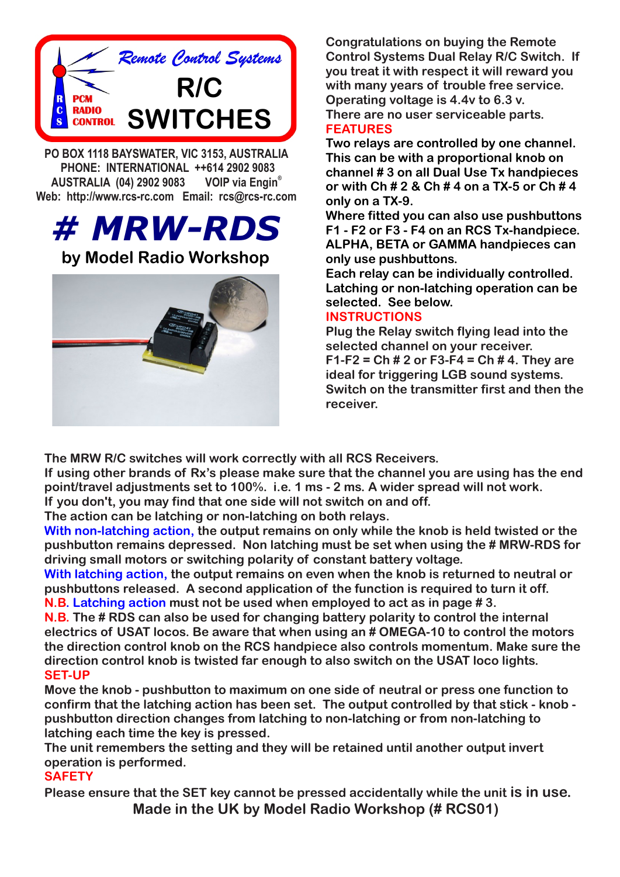

**PO BOX 1118 BAYSWATER, VIC 3153, AUSTRALIA PHONE: INTERNATIONAL ++614 2902 9083 VOIP** via Engin® **AUSTRALIA (04) 2902 9083 Web: http://www.rcs-rc.com Email: rcs@rcs-rc.com**



**by Model Radio Workshop**



**Congratulations on buying the Remote Control Systems Dual Relay R/C Switch. If you treat it with respect it will reward you with many years of trouble free service. Operating voltage is 4.4v to 6.3 v. There are no user serviceable parts. FEATURES**

**Two relays are controlled by one channel. This can be with a proportional knob on channel # 3 on all Dual Use Tx handpieces or with Ch # 2 & Ch # 4 on a TX-5 or Ch # 4 only on a TX-9.** 

**Where fitted you can also use pushbuttons F1 - F2 or F3 - F4 on an RCS Tx-handpiece. ALPHA, BETA or GAMMA handpieces can only use pushbuttons.**

**Each relay can be individually controlled. Latching or non-latching operation can be selected. See below.**

## **INSTRUCTIONS**

**Plug the Relay switch flying lead into the selected channel on your receiver. F1-F2 = Ch # 2 or F3-F4 = Ch # 4. They are ideal for triggering LGB sound systems. Switch on the transmitter first and then the receiver.**

**The MRW R/C switches will work correctly with all RCS Receivers.**

**If using other brands of Rx's please make sure that the channel you are using has the end point/travel adjustments set to 100%. i.e. 1 ms - 2 ms. A wider spread will not work. If you don't, you may find that one side will not switch on and off.**

**The action can be latching or non-latching on both relays.**

**With non-latching action, the output remains on only while the knob is held twisted or the pushbutton remains depressed. Non latching must be set when using the # MRW-RDS for driving small motors or switching polarity of constant battery voltage.**

**With latching action, the output remains on even when the knob is returned to neutral or pushbuttons released. A second application of the function is required to turn it off. N.B. Latching action must not be used when employed to act as in page # 3.**

**N.B. The # RDS can also be used for changing battery polarity to control the internal electrics of USAT locos. Be aware that when using an # OMEGA-10 to control the motors the direction control knob on the RCS handpiece also controls momentum. Make sure the direction control knob is twisted far enough to also switch on the USAT loco lights. SET-UP**

**Move the knob - pushbutton to maximum on one side of neutral or press one function to confirm that the latching action has been set. The output controlled by that stick - knob pushbutton direction changes from latching to non-latching or from non-latching to latching each time the key is pressed.**

**The unit remembers the setting and they will be retained until another output invert operation is performed.**

## **SAFETY**

**Please ensure that the SET key cannot be pressed accidentally while the unit is in use. Made in the UK by Model Radio Workshop (# RCS01)**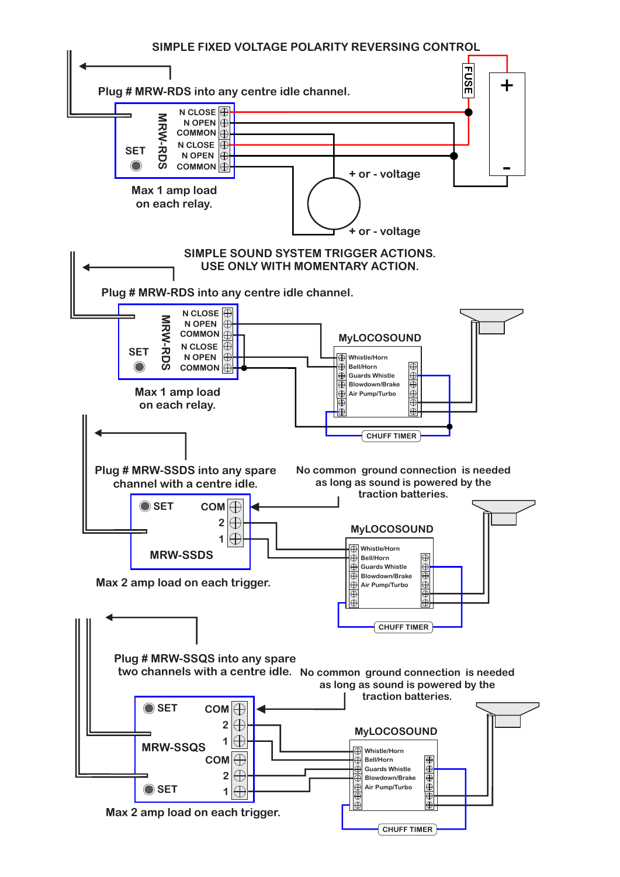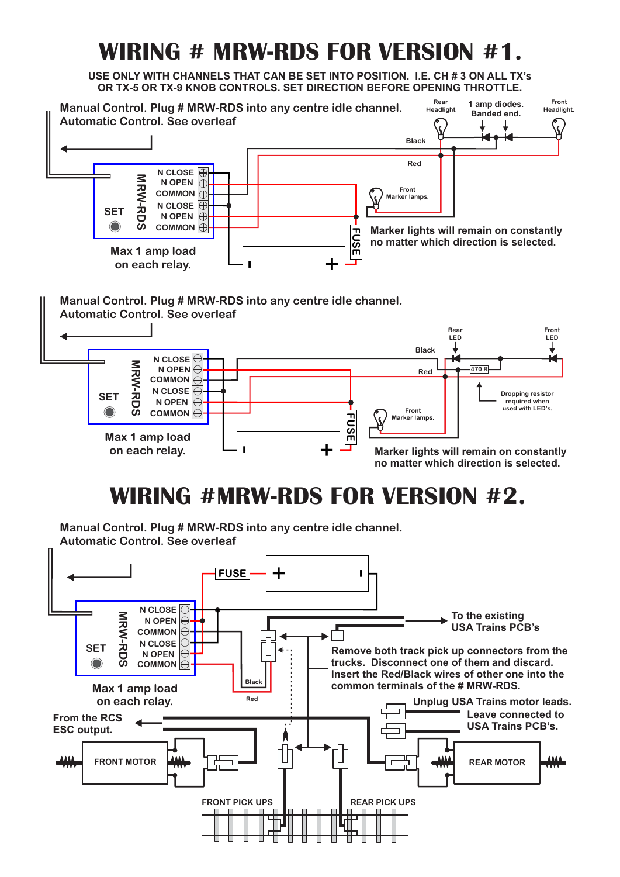## **WIRING # MRW-RDS FOR VERSION #1.**

**USE ONLY WITH CHANNELS THAT CAN BE SET INTO POSITION. I.E. CH # 3 ON ALL TX's OR TX-5 OR TX-9 KNOB CONTROLS. SET DIRECTION BEFORE OPENING THROTTLE.Front Rear 1 amp diodes. Manual Control. Plug # MRW-RDS into any centre idle channel. Headlight Headlight. Banded end. Automatic Control. See overleaf** Ś, **Black Red N CLOSE COMMONS COMM**<br>
COMMONS COMMONS COMMONS COMMONS COMMONS COMMONS COMMONS COMMONS COMMONS COMMONS COMMONS COMMONS COMMONS COMMONS COMMONS COMMONS COMMONS COMMONS COMMONS COMMONS COMMONS COMMONS COMMONS COMMONS COMMONS COMMON **MRW-RDS N OPEN**  $\oplus$ **Front COMMON Marker lamps. N CLOSE SET**  $\bigoplus$ **N OPEN COMMON**  $\bigcirc$ **FUSE Marker lights will remain on constantly no matter which direction is selected. Max 1 amp load on each relay.** - + **Manual Control. Plug # MRW-RDS into any centre idle channel. Automatic Control. See overleaf Front Rear LED LED** ↓ **Black N CLOSE MRW-RDS N OPEN 470 R Red COMMON**  $\oplus$ **N CLOSE**  $\overline{\oplus}$ **Dropping resistor SET N OPEN**  $\oplus$ **required when used with LED's.**  $\bigodot$ **COMMON Front FUSE Marker lamps. Max 1 amp load on each relay.** - + **Marker lights will remain on constantly no matter which direction is selected.**

## **WIRING #MRW-RDS FOR VERSION #2.**

**Manual Control. Plug # MRW-RDS into any centre idle channel. Automatic Control. See overleaf**